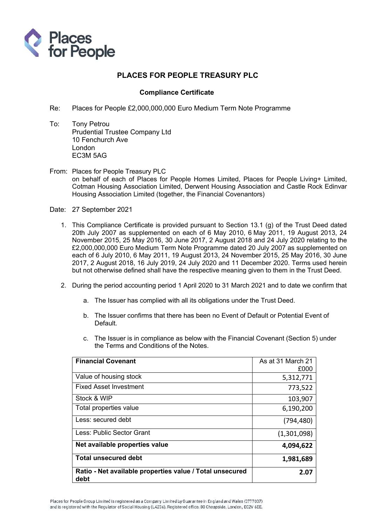

## PLACES FOR PEOPLE TREASURY PLC

## Compliance Certificate

- Re: Places for People £2,000,000,000 Euro Medium Term Note Programme
- To: Tony Petrou Prudential Trustee Company Ltd 10 Fenchurch Ave London EC3M 5AG
- From: Places for People Treasury PLC on behalf of each of Places for People Homes Limited, Places for People Living+ Limited, Cotman Housing Association Limited, Derwent Housing Association and Castle Rock Edinvar Housing Association Limited (together, the Financial Covenantors)
- Date: 27 September 2021
	- 1. This Compliance Certificate is provided pursuant to Section 13.1 (g) of the Trust Deed dated 20th July 2007 as supplemented on each of 6 May 2010, 6 May 2011, 19 August 2013, 24 November 2015, 25 May 2016, 30 June 2017, 2 August 2018 and 24 July 2020 relating to the £2,000,000,000 Euro Medium Term Note Programme dated 20 July 2007 as supplemented on each of 6 July 2010, 6 May 2011, 19 August 2013, 24 November 2015, 25 May 2016, 30 June 2017, 2 August 2018, 16 July 2019, 24 July 2020 and 11 December 2020. Terms used herein but not otherwise defined shall have the respective meaning given to them in the Trust Deed.
	- 2. During the period accounting period 1 April 2020 to 31 March 2021 and to date we confirm that
		- a. The Issuer has complied with all its obligations under the Trust Deed.
		- b. The Issuer confirms that there has been no Event of Default or Potential Event of Default.
		- c. The Issuer is in compliance as below with the Financial Covenant (Section 5) under the Terms and Conditions of the Notes.

| <b>Financial Covenant</b>                                        | As at 31 March 21<br>£000 |
|------------------------------------------------------------------|---------------------------|
| Value of housing stock                                           | 5,312,771                 |
| <b>Fixed Asset Investment</b>                                    | 773,522                   |
| Stock & WIP                                                      | 103,907                   |
| Total properties value                                           | 6,190,200                 |
| Less: secured debt                                               | (794,480)                 |
| Less: Public Sector Grant                                        | (1,301,098)               |
| Net available properties value                                   | 4,094,622                 |
| <b>Total unsecured debt</b>                                      | 1,981,689                 |
| Ratio - Net available properties value / Total unsecured<br>debt | 2.07                      |

Places for People Group Limited is registered as a Company Limited by Guarantee in England and Wales (3777037) and is registered with the Regulator of Social Housing (L4236). Registered office: 80 Cheapside, London, EC2V 6EE.